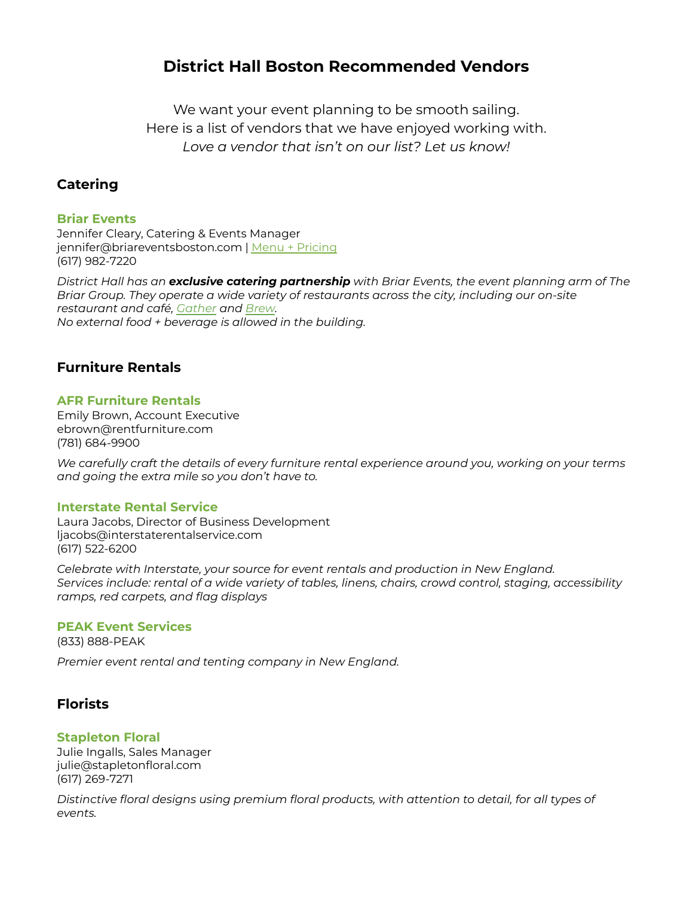# **District Hall Boston Recommended Vendors**

We want your event planning to be smooth sailing. Here is a list of vendors that we have enjoyed working with. *Love a vendor that isn't on our list? Let us know!*

# **Catering**

## **Briar Events**

Jennifer Cleary, Catering & Events Manager jennifer@briareventsboston.com | Menu + [Pricing](http://districthallboston.org/wp-content/uploads/2019/10/District-Hall-Catering-Menu.pdf) (617) 982-7220

*District Hall has an exclusive catering partnership with Briar Events, the event planning arm of The Briar Group. They operate a wide variety of restaurants across the city, including our on-site restaurant and café, [Gather](https://gatherboston.com/) and [Brew](https://www.brewcafeboston.com/). No external food + beverage is allowed in the building.*

## **Furniture Rentals**

## **AFR Furniture Rentals**

Emily Brown, Account Executive ebrown@rentfurniture.com (781) 684-9900

*We carefully craft the details of every furniture rental experience around you, working on your terms and going the extra mile so you don't have to.*

### **Interstate Rental Service**

Laura Jacobs, Director of Business Development ljacobs@interstaterentalservice.com (617) 522-6200

*Celebrate with Interstate, your source for event rentals and production in New England. Services include: rental of a wide variety of tables, linens, chairs, crowd control, staging, accessibility ramps, red carpets, and flag displays*

## **PEAK Event Services**

(833) 888-PEAK

*Premier event rental and tenting company in New England.*

## **Florists**

## **Stapleton Floral**

Julie Ingalls, Sales Manager julie@stapletonfloral.com (617) 269-7271

*Distinctive floral designs using premium floral products, with attention to detail, for all types of events.*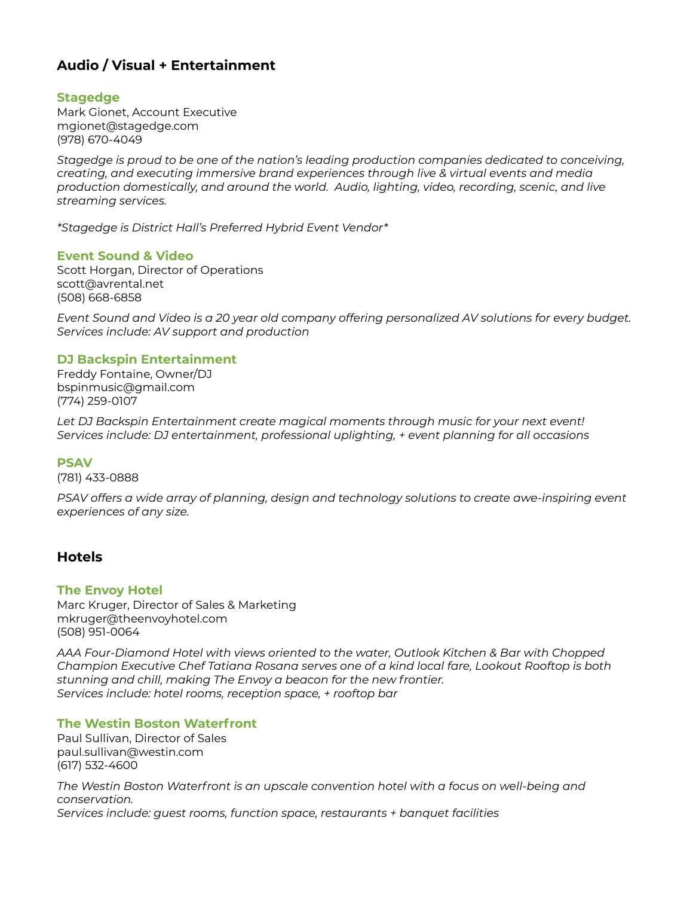# **Audio / Visual + Entertainment**

## **Stagedge**

Mark Gionet, Account Executive mgionet@stagedge.com (978) 670-4049

*Stagedge is proud to be one of the nation's leading production companies dedicated to conceiving, creating, and executing immersive brand experiences through live & virtual events and media production domestically, and around the world. Audio, lighting, video, recording, scenic, and live streaming services.*

*\*Stagedge is District Hall's Preferred Hybrid Event Vendor\**

## **Event Sound & Video**

Scott Horgan, Director of Operations scott@avrental.net (508) 668-6858

*Event Sound and Video is a 20 year old company offering personalized AV solutions for every budget. Services include: AV support and production*

### **DJ Backspin Entertainment**

Freddy Fontaine, Owner/DJ bspinmusic@gmail.com (774) 259-0107

*Let DJ Backspin Entertainment create magical moments through music for your next event! Services include: DJ entertainment, professional uplighting, + event planning for all occasions*

### **PSAV**

(781) 433-0888

*PSAV offers a wide array of planning, design and technology solutions to create awe-inspiring event experiences of any size.*

## **Hotels**

### **The Envoy Hotel**

Marc Kruger, Director of Sales & Marketing mkruger@theenvoyhotel.com (508) 951-0064

*AAA Four-Diamond Hotel with views oriented to the water, Outlook Kitchen & Bar with Chopped Champion Executive Chef Tatiana Rosana serves one of a kind local fare, Lookout Rooftop is both stunning and chill, making The Envoy a beacon for the new frontier. Services include: hotel rooms, reception space, + rooftop bar*

### **The Westin Boston Waterfront**

Paul Sullivan, Director of Sales paul.sullivan@westin.com (617) 532-4600

*The Westin Boston Waterfront is an upscale convention hotel with a focus on well-being and conservation.*

*Services include: guest rooms, function space, restaurants + banquet facilities*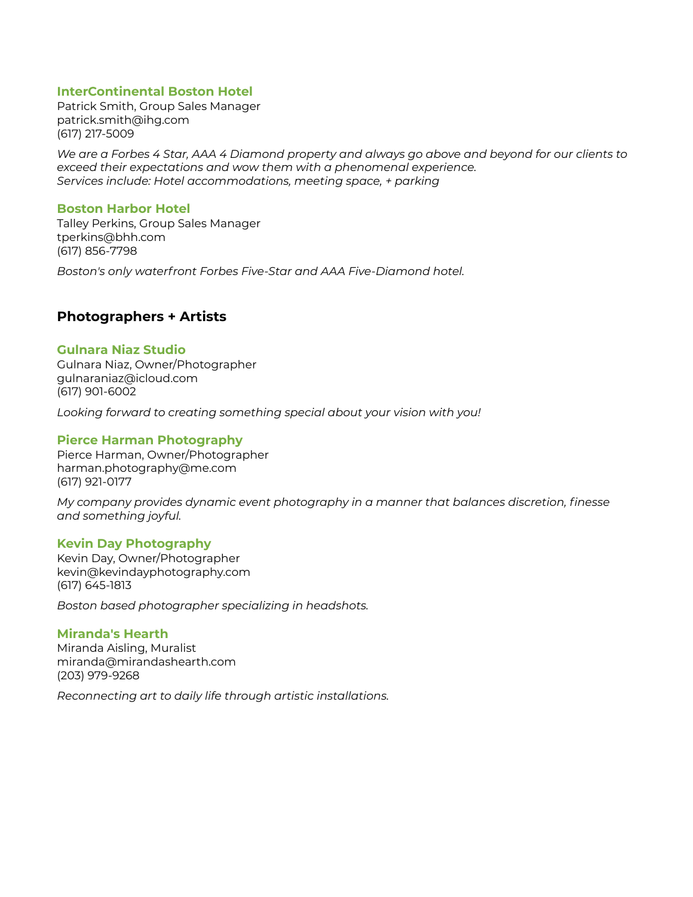### **InterContinental Boston Hotel**

Patrick Smith, Group Sales Manager patrick.smith@ihg.com (617) 217-5009

We are a Forbes 4 Star, AAA 4 Diamond property and always go above and beyond for our clients to *exceed their expectations and wow them with a phenomenal experience. Services include: Hotel accommodations, meeting space, + parking*

### **Boston Harbor Hotel**

Talley Perkins, Group Sales Manager tperkins@bhh.com (617) 856-7798

*Boston's only waterfront Forbes Five-Star and AAA Five-Diamond hotel.*

## **Photographers + Artists**

### **Gulnara Niaz Studio**

Gulnara Niaz, Owner/Photographer gulnaraniaz@icloud.com (617) 901-6002

*Looking forward to creating something special about your vision with you!*

### **Pierce Harman Photography**

Pierce Harman, Owner/Photographer harman.photography@me.com (617) 921-0177

*My company provides dynamic event photography in a manner that balances discretion, finesse and something joyful.*

### **Kevin Day Photography**

Kevin Day, Owner/Photographer kevin@kevindayphotography.com (617) 645-1813

*Boston based photographer specializing in headshots.*

### **Miranda's Hearth**

Miranda Aisling, Muralist miranda@mirandashearth.com (203) 979-9268

*Reconnecting art to daily life through artistic installations.*